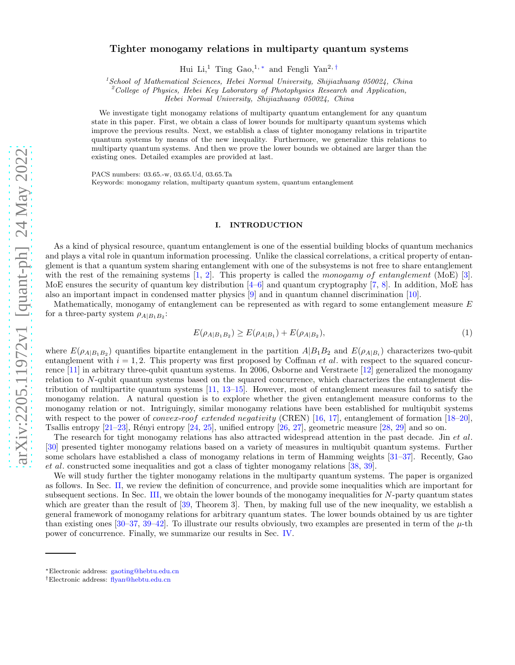# Tighter monogamy relations in multiparty quantum systems

Hui Li,<sup>1</sup> Ting Gao,<sup>1,\*</sup> and Fengli Yan<sup>2,[†](#page-0-1)</sup>

 $1$ School of Mathematical Sciences, Hebei Normal University, Shijiazhuang 050024, China

<sup>2</sup>College of Physics, Hebei Key Laboratory of Photophysics Research and Application,

Hebei Normal University, Shijiazhuang 050024, China

We investigate tight monogamy relations of multiparty quantum entanglement for any quantum state in this paper. First, we obtain a class of lower bounds for multiparty quantum systems which improve the previous results. Next, we establish a class of tighter monogamy relations in tripartite quantum systems by means of the new inequality. Furthermore, we generalize this relations to multiparty quantum systems. And then we prove the lower bounds we obtained are larger than the existing ones. Detailed examples are provided at last.

PACS numbers: 03.65.-w, 03.65.Ud, 03.65.Ta Keywords: monogamy relation, multiparty quantum system, quantum entanglement

#### I. INTRODUCTION

As a kind of physical resource, quantum entanglement is one of the essential building blocks of quantum mechanics and plays a vital role in quantum information processing. Unlike the classical correlations, a critical property of entanglement is that a quantum system sharing entanglement with one of the subsystems is not free to share entanglement with the rest of the remaining systems  $[1, 2]$  $[1, 2]$  $[1, 2]$ . This property is called the monogamy of entanglement (MoE) [\[3\]](#page-9-2). MoE ensures the security of quantum key distribution [\[4](#page-9-3)[–6](#page-9-4)] and quantum cryptography [\[7,](#page-9-5) [8\]](#page-9-6). In addition, MoE has also an important impact in condensed matter physics [\[9](#page-9-7)] and in quantum channel discrimination [\[10\]](#page-9-8).

Mathematically, monogamy of entanglement can be represented as with regard to some entanglement measure E for a three-party system  $\rho_{A|B_1B_2}$ :

$$
E(\rho_{A|B_1B_2}) \ge E(\rho_{A|B_1}) + E(\rho_{A|B_2}), \tag{1}
$$

where  $E(\rho_{A|B_1B_2})$  quantifies bipartite entanglement in the partition  $A|B_1B_2$  and  $E(\rho_{A|B_i})$  characterizes two-qubit entanglement with  $i = 1, 2$ . This property was first proposed by Coffman et al. with respect to the squared concurrence [\[11\]](#page-9-9) in arbitrary three-qubit quantum systems. In 2006, Osborne and Verstraete [\[12](#page-9-10)] generalized the monogamy relation to N-qubit quantum systems based on the squared concurrence, which characterizes the entanglement distribution of multipartite quantum systems  $[11, 13-15]$  $[11, 13-15]$  $[11, 13-15]$ . However, most of entanglement measures fail to satisfy the monogamy relation. A natural question is to explore whether the given entanglement measure conforms to the monogamy relation or not. Intriguingly, similar monogamy relations have been established for multiqubit systems with respect to the power of *convex-roof extended negativity* (CREN) [\[16,](#page-9-13) [17\]](#page-9-14), entanglement of formation [\[18](#page-9-15)[–20\]](#page-10-0), Tsallis entropy  $[21-23]$ , Rényi entropy  $[24, 25]$  $[24, 25]$ , unified entropy  $[26, 27]$  $[26, 27]$ , geometric measure  $[28, 29]$  $[28, 29]$  $[28, 29]$  and so on.

The research for tight monogamy relations has also attracted widespread attention in the past decade. Jin et al. [\[30\]](#page-10-9) presented tighter monogamy relations based on a variety of measures in multiqubit quantum systems. Further some scholars have established a class of monogamy relations in term of Hamming weights [\[31](#page-10-10)[–37\]](#page-10-11). Recently, Gao et al. constructed some inequalities and got a class of tighter monogamy relations [\[38,](#page-10-12) [39\]](#page-10-13).

We will study further the tighter monogamy relations in the multiparty quantum systems. The paper is organized as follows. In Sec. [II,](#page-1-0) we review the definition of concurrence, and provide some inequalities which are important for subsequent sections. In Sec. [III,](#page-2-0) we obtain the lower bounds of the monogamy inequalities for N-party quantum states which are greater than the result of [\[39](#page-10-13), Theorem 3]. Then, by making full use of the new inequality, we establish a general framework of monogamy relations for arbitrary quantum states. The lower bounds obtained by us are tighter than existing ones  $[30-37, 39-42]$  $[30-37, 39-42]$  $[30-37, 39-42]$ . To illustrate our results obviously, two examples are presented in term of the  $\mu$ -th power of concurrence. Finally, we summarize our results in Sec. [IV.](#page-8-0)

<span id="page-0-0"></span><sup>∗</sup>Electronic address: [gaoting@hebtu.edu.cn](mailto:gaoting@hebtu.edu.cn)

<span id="page-0-1"></span><sup>†</sup>Electronic address: [flyan@hebtu.edu.cn](mailto:flyan@hebtu.edu.cn)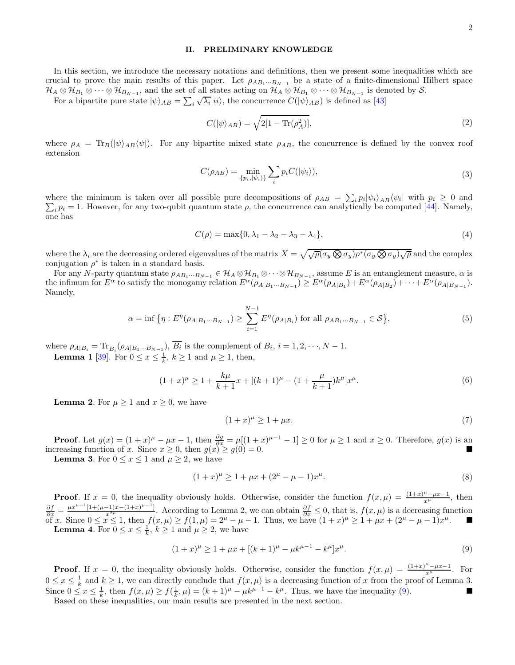### <span id="page-1-0"></span>II. PRELIMINARY KNOWLEDGE

In this section, we introduce the necessary notations and definitions, then we present some inequalities which are crucial to prove the main results of this paper. Let  $\rho_{AB_1\cdots B_{N-1}}$  be a state of a finite-dimensional Hilbert space  $\mathcal{H}_A\otimes\mathcal{H}_{B_1}\otimes\cdots\otimes\mathcal{H}_{B_{N-1}}$ , and the set of all states acting on  $\mathcal{H}_A\otimes\mathcal{H}_{B_1}\otimes\cdots\otimes\mathcal{H}_{B_{N-1}}$  is denoted by  $\mathcal{S}.$ 

For a bipartite pure state  $|\psi\rangle_{AB} = \sum_i \sqrt{\lambda_i} |ii\rangle$ , the concurrence  $C(|\psi\rangle_{AB})$  is defined as [\[43\]](#page-10-15)

$$
C(|\psi\rangle_{AB}) = \sqrt{2[1 - \text{Tr}(\rho_A^2)]},\tag{2}
$$

where  $\rho_A = \text{Tr}_B(|\psi\rangle_{AB} \langle \psi|)$ . For any bipartite mixed state  $\rho_{AB}$ , the concurrence is defined by the convex roof extension

$$
C(\rho_{AB}) = \min_{\{p_i, |\psi_i\rangle\}} \sum_i p_i C(|\psi_i\rangle),\tag{3}
$$

where the minimum is taken over all possible pure decompositions of  $\rho_{AB} = \sum_i p_i |\psi_i\rangle_{AB} \langle \psi_i|$  $\sum$ | with  $p_i \geq 0$  and  $i$   $p_i = 1$ . However, for any two-qubit quantum state  $\rho$ , the concurrence can analytically be computed [\[44](#page-10-16)]. Namely, one has

$$
C(\rho) = \max\{0, \lambda_1 - \lambda_2 - \lambda_3 - \lambda_4\},\tag{4}
$$

where the  $\lambda_i$  are the decreasing ordered eigenvalues of the matrix  $X = \sqrt{\sqrt{\rho}(\sigma_y \otimes \sigma_y)\rho^*(\sigma_y \otimes \sigma_y)\sqrt{\rho}}$  and the complex conjugation  $\rho^*$  is taken in a standard basis.

For any N-party quantum state  $\rho_{AB_1\cdots B_{N-1}} \in \mathcal{H}_A \otimes \mathcal{H}_{B_1} \otimes \cdots \otimes \mathcal{H}_{B_{N-1}}$ , assume E is an entanglement measure,  $\alpha$  is the infimum for  $E^{\alpha}$  to satisfy the monogamy relation  $E^{\alpha}(\rho_{A|B_1\cdots B_{N-1}}) \geq E^{\alpha}(\rho_{A|B_1}) + E^{\alpha}(\rho_{A|B_2}) + \cdots + E^{\alpha}(\rho_{A|B_{N-1}})$ . Namely,

$$
\alpha = \inf \{ \eta : E^{\eta}(\rho_{A|B_1\cdots B_{N-1}}) \ge \sum_{i=1}^{N-1} E^{\eta}(\rho_{A|B_i}) \text{ for all } \rho_{AB_1\cdots B_{N-1}} \in \mathcal{S} \},\tag{5}
$$

where  $\rho_{A|B_i} = \text{Tr}_{\overline{B_i}}(\rho_{A|B_1\cdots B_{N-1}}), B_i$  is the complement of  $B_i, i = 1, 2, \dots, N-1$ .

**Lemma 1** [\[39](#page-10-13)]. For  $0 \le x \le \frac{1}{k}$ ,  $k \ge 1$  and  $\mu \ge 1$ , then,

<span id="page-1-2"></span>
$$
(1+x)^{\mu} \ge 1 + \frac{k\mu}{k+1}x + [(k+1)^{\mu} - (1+\frac{\mu}{k+1})k^{\mu}]x^{\mu}.
$$
 (6)

**Lemma 2.** For  $\mu \geq 1$  and  $x \geq 0$ , we have

$$
(1+x)^{\mu} \ge 1 + \mu x. \tag{7}
$$

**Proof.** Let  $g(x) = (1+x)^{\mu} - \mu x - 1$ , then  $\frac{\partial g}{\partial x} = \mu[(1+x)^{\mu-1} - 1] \ge 0$  for  $\mu \ge 1$  and  $x \ge 0$ . Therefore,  $g(x)$  is an increasing function of x. Since  $x \ge 0$ , then  $g(x) \ge g(0) = 0$ .

**Lemma 3.** For  $0 \le x \le 1$  and  $\mu \ge 2$ , we have

$$
(1+x)^{\mu} \ge 1 + \mu x + (2^{\mu} - \mu - 1)x^{\mu}.
$$
\n(8)

**Proof.** If  $x = 0$ , the inequality obviously holds. Otherwise, consider the function  $f(x, \mu) = \frac{(1+x)^{\mu} - \mu x - 1}{x^{\mu}}$ , then  $\frac{\partial f}{\partial x} = \frac{\mu x^{\mu-1}[1+(\mu-1)x-(1+x)^{\mu-1}]}{x^{2\mu}}$ . According to Lemma 2, we can obtain  $\frac{\partial f}{\partial x} \leq 0$ , that is,  $f(x,\mu)$  is a decreasing function of x. Since  $0 \le x \le 1$ , then  $f(x,\mu) \ge f(1,\mu) = 2^{\mu} - \mu - 1$ . Thus, we have  $(1+x)^{\mu} \ge 1 + \mu x + (2^{\mu} - \mu - 1)x^{\mu}$ . ■ **Lemma 4.** For  $0 \le x \le \frac{1}{k}$ ,  $k \ge 1$  and  $\mu \ge 2$ , we have

<span id="page-1-1"></span>
$$
(1+x)^{\mu} \ge 1 + \mu x + [(k+1)^{\mu} - \mu k^{\mu-1} - k^{\mu}]x^{\mu}.
$$
\n(9)

**Proof.** If  $x = 0$ , the inequality obviously holds. Otherwise, consider the function  $f(x, \mu) = \frac{(1+x)^{\mu} - \mu x - 1}{x^{\mu}}$ . For  $0 \leq x \leq \frac{1}{k}$  and  $k \geq 1$ , we can directly conclude that  $f(x, \mu)$  is a decreasing function of x from the proof of Lemma 3. Since  $0 \le x \le \frac{1}{k}$ , then  $f(x,\mu) \ge f(\frac{1}{k},\mu) = (k+1)^{\mu} - \mu k^{\mu-1} - k^{\mu}$ . Thus, we have the inequality [\(9\)](#page-1-1).

Based on these inequalities, our main results are presented in the next section.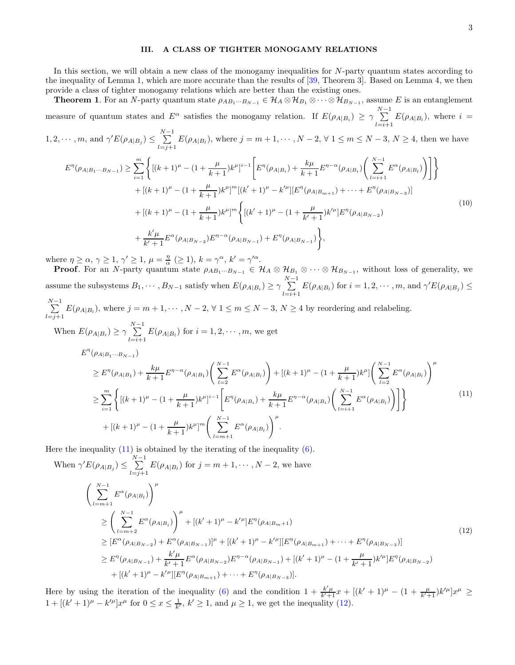### <span id="page-2-0"></span>III. A CLASS OF TIGHTER MONOGAMY RELATIONS

In this section, we will obtain a new class of the monogamy inequalities for N-party quantum states according to the inequality of Lemma 1, which are more accurate than the results of [\[39,](#page-10-13) Theorem 3]. Based on Lemma 4, we then provide a class of tighter monogamy relations which are better than the existing ones.

**Theorem 1.** For an N-party quantum state  $\rho_{AB_1\cdots B_{N-1}} \in \mathcal{H}_A \otimes \mathcal{H}_{B_1} \otimes \cdots \otimes \mathcal{H}_{B_{N-1}}$ , assume E is an entanglement measure of quantum states and  $E^{\alpha}$  satisfies the monogamy relation. If  $E(\rho_{A|B_i}) \ge \gamma \sum_{i=1}^{N-1}$  $\sum_{l=i+1} E(\rho_{A|B_l})$ , where  $i =$ 

$$
1, 2, \cdots, m, \text{ and } \gamma' E(\rho_{A|B_j}) \le \sum_{l=j+1}^{N-1} E(\rho_{A|B_l}), \text{ where } j = m+1, \cdots, N-2, \forall 1 \le m \le N-3, N \ge 4, \text{ then we have}
$$

<span id="page-2-3"></span>
$$
E^{\eta}(\rho_{A|B_{1}\cdots B_{N-1}}) \geq \sum_{i=1}^{m} \left\{ \left[ (k+1)^{\mu} - (1 + \frac{\mu}{k+1})k^{\mu} \right]^{i-1} \left[ E^{\eta}(\rho_{A|B_{i}}) + \frac{k\mu}{k+1} E^{\eta-\alpha}(\rho_{A|B_{i}}) \left( \sum_{l=i+1}^{N-1} E^{\alpha}(\rho_{A|B_{l}}) \right) \right] \right\} + \left[ (k+1)^{\mu} - (1 + \frac{\mu}{k+1})k^{\mu} \right]^{m} \left[ (k'+1)^{\mu} - k^{\mu} \right] \left[ E^{\eta}(\rho_{A|B_{m+1}}) + \dots + E^{\eta}(\rho_{A|B_{N-3}}) \right] + \left[ (k+1)^{\mu} - (1 + \frac{\mu}{k+1})k^{\mu} \right]^{m} \left\{ \left[ (k'+1)^{\mu} - (1 + \frac{\mu}{k'+1})k^{\mu} \right] E^{\eta}(\rho_{A|B_{N-2}}) + \frac{k^{\prime}\mu}{k'+1} E^{\alpha}(\rho_{A|B_{N-2}}) E^{\eta-\alpha}(\rho_{A|B_{N-1}}) + E^{\eta}(\rho_{A|B_{N-1}}) \right\},
$$
\n
$$
(10)
$$

where  $\eta \ge \alpha, \gamma \ge 1, \gamma' \ge 1, \mu = \frac{\eta}{\alpha} \ (\ge 1), k = \gamma^{\alpha}, k' = \gamma'^{\alpha}.$ 

**Proof.** For an N-party quantum state  $\rho_{AB_1\cdots B_{N-1}} \in \mathcal{H}_A \otimes \mathcal{H}_{B_1} \otimes \cdots \otimes \mathcal{H}_{B_{N-1}}$ , without loss of generality, we assume the subsystems  $B_1, \cdots, B_{N-1}$  satisfy when  $E(\rho_{A|B_i}) \ge \gamma \sum_{i=1}^{N-1}$  $\sum_{l=i+1} E(\rho_{A|B_l})$  for  $i = 1, 2, \cdots, m$ , and  $\gamma' E(\rho_{A|B_j}) \le$ 

$$
\sum_{l=j+1}^{N-1} E(\rho_{A|B_l}), \text{ where } j = m+1, \dots, N-2, \forall 1 \le m \le N-3, N \ge 4 \text{ by reordering and relabeling.}
$$
  
When  $E(\rho_{A|B_i}) \ge \gamma \sum_{l=i+1}^{N-1} E(\rho_{A|B_l})$  for  $i = 1, 2, \dots, m$ , we get  

$$
E^{\eta}(\rho_{A|B_1 \dots B_{N-1}})
$$

<span id="page-2-1"></span>
$$
\geq E^{\eta}(\rho_{A|B_{1}}) + \frac{k\mu}{k+1} E^{\eta-\alpha}(\rho_{A|B_{1}}) \left( \sum_{l=2}^{N-1} E^{\alpha}(\rho_{A|B_{l}}) \right) + \left[ (k+1)^{\mu} - (1 + \frac{\mu}{k+1})k^{\mu} \right] \left( \sum_{l=2}^{N-1} E^{\alpha}(\rho_{A|B_{l}}) \right)^{\mu}
$$
\n
$$
\geq \sum_{i=1}^{m} \left\{ \left[ (k+1)^{\mu} - (1 + \frac{\mu}{k+1})k^{\mu} \right]^{i-1} \left[ E^{\eta}(\rho_{A|B_{i}}) + \frac{k\mu}{k+1} E^{\eta-\alpha}(\rho_{A|B_{i}}) \left( \sum_{l=i+1}^{N-1} E^{\alpha}(\rho_{A|B_{l}}) \right) \right] \right\}
$$
\n
$$
+ \left[ (k+1)^{\mu} - (1 + \frac{\mu}{k+1})k^{\mu} \right]^{m} \left( \sum_{l=m+1}^{N-1} E^{\alpha}(\rho_{A|B_{l}}) \right)^{\mu} . \tag{11}
$$

Here the inequality  $(11)$  is obtained by the iterating of the inequality  $(6)$ .

When 
$$
\gamma' E(\rho_{A|B_j}) \leq \sum_{l=j+1}^{N-1} E(\rho_{A|B_l})
$$
 for  $j = m + 1, \dots, N - 2$ , we have  
\n
$$
\left(\sum_{l=m+1}^{N-1} E^{\alpha}(\rho_{A|B_l})\right)^{\mu}
$$
\n
$$
\geq \left(\sum_{l=m+2}^{N-1} E^{\alpha}(\rho_{A|B_l})\right)^{\mu} + [(k' + 1)^{\mu} - k'^{\mu}]E^{\eta}(\rho_{A|B_m+1})
$$
\n
$$
\geq [E^{\alpha}(\rho_{A|B_{N-2}}) + E^{\alpha}(\rho_{A|B_{N-1}})]^{\mu} + [(k' + 1)^{\mu} - k'^{\mu}][E^{\eta}(\rho_{A|B_{m+1}}) + \dots + E^{\eta}(\rho_{A|B_{N-3}})]
$$
\n
$$
\geq E^{\eta}(\rho_{A|B_{N-1}}) + \frac{k'\mu}{k' + 1}E^{\alpha}(\rho_{A|B_{N-2}})E^{\eta - \alpha}(\rho_{A|B_{N-1}}) + [(k' + 1)^{\mu} - (1 + \frac{\mu}{k' + 1})k'^{\mu}]E^{\eta}(\rho_{A|B_{N-2}})
$$
\n
$$
+ [(k' + 1)^{\mu} - k'^{\mu}][E^{\eta}(\rho_{A|B_{m+1}}) + \dots + E^{\eta}(\rho_{A|B_{N-3}})].
$$
\n(12)

<span id="page-2-2"></span>Here by using the iteration of the inequality [\(6\)](#page-1-2) and the condition  $1 + \frac{k'\mu}{k'+1}x + \left[ (k'+1)^\mu - (1+\frac{\mu}{k'+1})k'^\mu \right]x^\mu \geq$  $1+[(k'+1)^{\mu}-k'^{\mu}]x^{\mu}$  for  $0 \le x \le \frac{1}{k'}, k' \ge 1$ , and  $\mu \ge 1$ , we get the inequality [\(12\)](#page-2-2).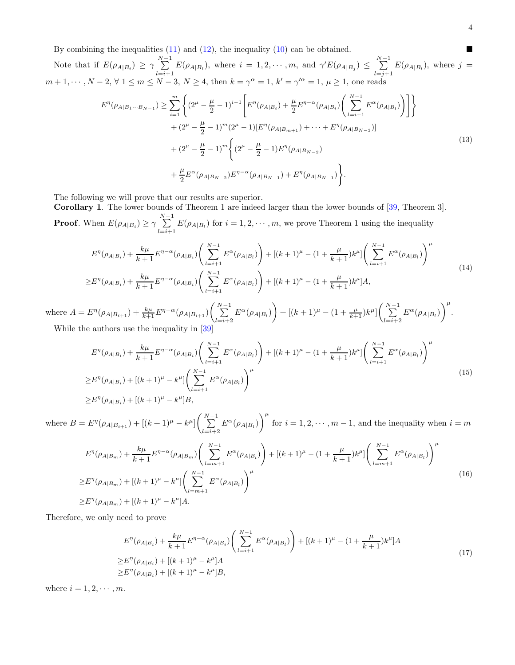By combining the inequalities [\(11\)](#page-2-1) and [\(12\)](#page-2-2), the inequality [\(10\)](#page-2-3) can be obtained.

Note that if  $E(\rho_{A|B_i}) \geq \gamma \sum_{i=1}^{N-1}$  $\sum_{l=i+1}^{N-1} E(\rho_{A|B_l})$ , where  $i = 1, 2, \cdots, m$ , and  $\gamma' E(\rho_{A|B_j}) \leq \sum_{l=j+1}^{N-1}$  $\sum_{l=j+1} E(\rho_{A|B_l})$ , where  $j =$  $m+1, \cdots, N-2, \forall 1 \leq m \leq N-3, N \geq 4$ , then  $k = \gamma^{\alpha} = 1, k' = \gamma'^{\alpha} = 1, \mu \geq 1$ , one reads

$$
E^{\eta}(\rho_{A|B_{1}\cdots B_{N-1}}) \geq \sum_{i=1}^{m} \left\{ (2^{\mu} - \frac{\mu}{2} - 1)^{i-1} \left[ E^{\eta}(\rho_{A|B_{i}}) + \frac{\mu}{2} E^{\eta - \alpha}(\rho_{A|B_{i}}) \left( \sum_{l=i+1}^{N-1} E^{\alpha}(\rho_{A|B_{l}}) \right) \right] \right\}
$$
  
+ 
$$
(2^{\mu} - \frac{\mu}{2} - 1)^{m} (2^{\mu} - 1) [E^{\eta}(\rho_{A|B_{m+1}}) + \dots + E^{\eta}(\rho_{A|B_{N-3}})]
$$
  
+ 
$$
(2^{\mu} - \frac{\mu}{2} - 1)^{m} \left\{ (2^{\mu} - \frac{\mu}{2} - 1) E^{\eta}(\rho_{A|B_{N-2}})
$$
  
+ 
$$
\frac{\mu}{2} E^{\alpha}(\rho_{A|B_{N-2}}) E^{\eta - \alpha}(\rho_{A|B_{N-1}}) + E^{\eta}(\rho_{A|B_{N-1}}) \right\}.
$$
 (13)

The following we will prove that our results are superior.

Corollary 1. The lower bounds of Theorem 1 are indeed larger than the lower bounds of [\[39,](#page-10-13) Theorem 3]. **Proof.** When  $E(\rho_{A|B_i}) \ge \gamma \sum_{i=1}^{N-1}$  $\sum_{l=i+1} E(\rho_{A|B_l})$  for  $i = 1, 2, \cdots, m$ , we prove Theorem 1 using the inequality

<span id="page-3-1"></span>
$$
E^{\eta}(\rho_{A|B_i}) + \frac{k\mu}{k+1} E^{\eta - \alpha}(\rho_{A|B_i}) \left( \sum_{l=i+1}^{N-1} E^{\alpha}(\rho_{A|B_l}) \right) + [(k+1)^{\mu} - (1 + \frac{\mu}{k+1})k^{\mu}] \left( \sum_{l=i+1}^{N-1} E^{\alpha}(\rho_{A|B_l}) \right)^{\mu}
$$
  
\n
$$
\geq E^{\eta}(\rho_{A|B_i}) + \frac{k\mu}{k+1} E^{\eta - \alpha}(\rho_{A|B_i}) \left( \sum_{l=i+1}^{N-1} E^{\alpha}(\rho_{A|B_l}) \right) + [(k+1)^{\mu} - (1 + \frac{\mu}{k+1})k^{\mu}]A,
$$
\n(14)

where  $A = E^{\eta}(\rho_{A|B_{i+1}}) + \frac{k\mu}{k+1}E^{\eta-\alpha}(\rho_{A|B_{i+1}})\left(\sum_{i=1}^{N-1}$  $\sum_{l=i+2}^{N-1} E^{\alpha}(\rho_{A|B_l}) + [(k+1)^{\mu} - (1 + \frac{\mu}{k+1})k^{\mu}] \left( \sum_{l=i+2}^{N-1}$  $\sum_{l=i+2}^{N-1} E^{\alpha}(\rho_{A|B_l})\bigg)^{\mu}.$ While the authors use the inequality in [\[39](#page-10-13)]

$$
E^{\eta}(\rho_{A|B_i}) + \frac{k\mu}{k+1} E^{\eta - \alpha}(\rho_{A|B_i}) \left( \sum_{l=i+1}^{N-1} E^{\alpha}(\rho_{A|B_l}) \right) + \left[ (k+1)^{\mu} - (1 + \frac{\mu}{k+1}) k^{\mu} \right] \left( \sum_{l=i+1}^{N-1} E^{\alpha}(\rho_{A|B_l}) \right)^{\mu}
$$
  
\n
$$
\geq E^{\eta}(\rho_{A|B_i}) + \left[ (k+1)^{\mu} - k^{\mu} \right] \left( \sum_{l=i+1}^{N-1} E^{\alpha}(\rho_{A|B_l}) \right)^{\mu}
$$
  
\n
$$
\geq E^{\eta}(\rho_{A|B_i}) + \left[ (k+1)^{\mu} - k^{\mu} \right] B,
$$
\n(15)

where  $B = E^{\eta}(\rho_{A|B_{i+1}}) + [(k+1)^{\mu} - k^{\mu}] \left( \sum_{i=1}^{N-1} \right)$  $\sum_{l=i+2}^{N-1} E^{\alpha}(\rho_{A|B_l})\bigg)^{\mu}$ for  $i = 1, 2, \dots, m - 1$ , and the inequality when  $i = m$ 

$$
E^{\eta}(\rho_{A|B_{m}}) + \frac{k\mu}{k+1} E^{\eta-\alpha}(\rho_{A|B_{m}}) \left(\sum_{l=m+1}^{N-1} E^{\alpha}(\rho_{A|B_{l}})\right) + \left[(k+1)^{\mu} - (1 + \frac{\mu}{k+1})k^{\mu}\right] \left(\sum_{l=m+1}^{N-1} E^{\alpha}(\rho_{A|B_{l}})\right)^{\mu}
$$
  
\n
$$
\geq E^{\eta}(\rho_{A|B_{m}}) + \left[(k+1)^{\mu} - k^{\mu}\right] \left(\sum_{l=m+1}^{N-1} E^{\alpha}(\rho_{A|B_{l}})\right)^{\mu}
$$
  
\n
$$
\geq E^{\eta}(\rho_{A|B_{m}}) + \left[(k+1)^{\mu} - k^{\mu}\right] A. \tag{16}
$$

Therefore, we only need to prove

<span id="page-3-0"></span>
$$
E^{\eta}(\rho_{A|B_i}) + \frac{k\mu}{k+1} E^{\eta - \alpha}(\rho_{A|B_i}) \left( \sum_{l=i+1}^{N-1} E^{\alpha}(\rho_{A|B_l}) \right) + [(k+1)^{\mu} - (1 + \frac{\mu}{k+1})k^{\mu}]A
$$
  
\n
$$
\geq E^{\eta}(\rho_{A|B_i}) + [(k+1)^{\mu} - k^{\mu}]A
$$
  
\n
$$
\geq E^{\eta}(\rho_{A|B_i}) + [(k+1)^{\mu} - k^{\mu}]B,
$$
\n(17)

where  $i = 1, 2, \cdots, m$ .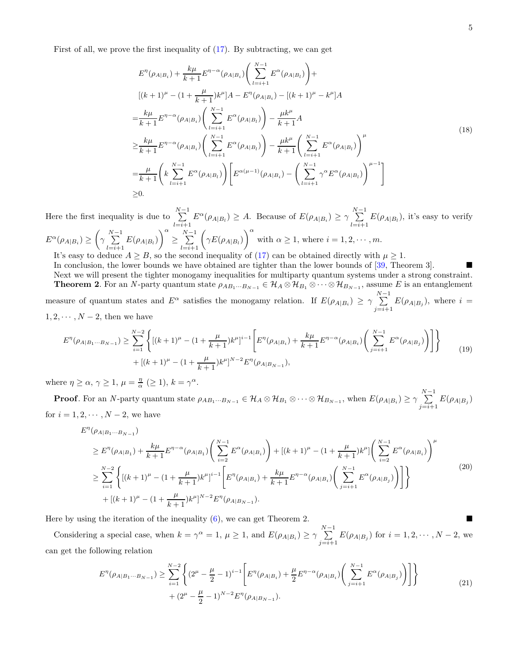First of all, we prove the first inequality of [\(17\)](#page-3-0). By subtracting, we can get

$$
E^{\eta}(\rho_{A|B_{i}}) + \frac{k\mu}{k+1} E^{\eta-\alpha}(\rho_{A|B_{i}}) \left( \sum_{l=i+1}^{N-1} E^{\alpha}(\rho_{A|B_{l}}) \right) +
$$
  
\n
$$
[(k+1)^{\mu} - (1 + \frac{\mu}{k+1})k^{\mu}]A - E^{\eta}(\rho_{A|B_{i}}) - [(k+1)^{\mu} - k^{\mu}]A
$$
  
\n
$$
= \frac{k\mu}{k+1} E^{\eta-\alpha}(\rho_{A|B_{i}}) \left( \sum_{l=i+1}^{N-1} E^{\alpha}(\rho_{A|B_{l}}) \right) - \frac{\mu k^{\mu}}{k+1}A
$$
  
\n
$$
\geq \frac{k\mu}{k+1} E^{\eta-\alpha}(\rho_{A|B_{i}}) \left( \sum_{l=i+1}^{N-1} E^{\alpha}(\rho_{A|B_{l}}) \right) - \frac{\mu k^{\mu}}{k+1} \left( \sum_{l=i+1}^{N-1} E^{\alpha}(\rho_{A|B_{l}}) \right)^{\mu}
$$
  
\n
$$
= \frac{\mu}{k+1} \left( k \sum_{l=i+1}^{N-1} E^{\alpha}(\rho_{A|B_{l}}) \right) \left[ E^{\alpha(\mu-1)}(\rho_{A|B_{i}}) - \left( \sum_{l=i+1}^{N-1} \gamma^{\alpha} E^{\alpha}(\rho_{A|B_{l}}) \right)^{\mu-1} \right]
$$
  
\n
$$
\geq 0.
$$
 (18)

Here the first inequality is due to  $\sum_{n=1}^{N-1}$  $_{i=i+1}$  $E^{\alpha}(\rho_{A|B_i}) \geq A$ . Because of  $E(\rho_{A|B_i}) \geq \gamma \sum_{i=1}^{N-1}$  $\sum_{l=i+1} E(\rho_{A|B_l})$ , it's easy to verify  $E^{\alpha}(\rho_{A|B_i}) \geq \left(\gamma \sum_{i=1}^{N-1} \right)$  $\sum_{l=i+1}^{N-1} E(\rho_{A|B_l})\bigg)^{\alpha}$ ≥  $\sum_{l=i+1}^{N-1} \bigg( \gamma E(\rho_{A|B_l}) \bigg)^{\alpha}$ with  $\alpha \geq 1$ , where  $i = 1, 2, \dots, m$ .

It's easy to deduce  $A \geq B$ , so the second inequality of [\(17\)](#page-3-0) can be obtained directly with  $\mu \geq 1$ .

In conclusion, the lower bounds we have obtained are tighter than the lower bounds of [\[39](#page-10-13), Theorem 3]. Next we will present the tighter monogamy inequalities for multiparty quantum systems under a strong constraint. **Theorem 2.** For an N-party quantum state  $\rho_{AB_1\cdots B_{N-1}} \in \mathcal{H}_A \otimes \mathcal{H}_{B_1} \otimes \cdots \otimes \mathcal{H}_{B_{N-1}}$ , assume E is an entanglement measure of quantum states and  $E^{\alpha}$  satisfies the monogamy relation. If  $E(\rho_{A|B_i}) \ge \gamma \sum_{i=1}^{N-1}$  $\sum_{j=i+1} E(\rho_{A|B_j})$ , where  $i =$  $1, 2, \cdots, N-2$ , then we have

$$
E^{\eta}(\rho_{A|B_1\cdots B_{N-1}}) \geq \sum_{i=1}^{N-2} \left\{ \left[ (k+1)^{\mu} - (1 + \frac{\mu}{k+1})k^{\mu} \right]^{i-1} \left[ E^{\eta}(\rho_{A|B_i}) + \frac{k\mu}{k+1} E^{\eta-\alpha}(\rho_{A|B_i}) \left( \sum_{j=i+1}^{N-1} E^{\alpha}(\rho_{A|B_j}) \right) \right] \right\}
$$
  
+ 
$$
\left[ (k+1)^{\mu} - (1 + \frac{\mu}{k+1})k^{\mu} \right]^{N-2} E^{\eta}(\rho_{A|B_{N-1}}),
$$
 (19)

where  $\eta \ge \alpha, \gamma \ge 1, \mu = \frac{\eta}{\alpha} \ (\ge 1), k = \gamma^{\alpha}.$ 

**Proof**. For an N-party quantum state  $\rho_{AB_1\cdots B_{N-1}} \in \mathcal{H}_A \otimes \mathcal{H}_{B_1} \otimes \cdots \otimes \mathcal{H}_{B_{N-1}}$ , when  $E(\rho_{A|B_i}) \ge \gamma \sum_{i=1}^{N-1}$  $\sum_{j=i+1} E(\rho_{A|B_j})$ for  $i = 1, 2, \cdots, N-2$ , we have

$$
E^{\eta}(\rho_{A|B_{1}\cdots B_{N-1}})
$$
  
\n
$$
\geq E^{\eta}(\rho_{A|B_{1}}) + \frac{k\mu}{k+1} E^{\eta-\alpha}(\rho_{A|B_{1}}) \left( \sum_{i=2}^{N-1} E^{\alpha}(\rho_{A|B_{i}}) \right) + [(k+1)^{\mu} - (1 + \frac{\mu}{k+1})k^{\mu}] \left( \sum_{i=2}^{N-1} E^{\alpha}(\rho_{A|B_{i}}) \right)^{\mu}
$$
  
\n
$$
\geq \sum_{i=1}^{N-2} \left\{ [(k+1)^{\mu} - (1 + \frac{\mu}{k+1})k^{\mu}]^{i-1} \left[ E^{\eta}(\rho_{A|B_{i}}) + \frac{k\mu}{k+1} E^{\eta-\alpha}(\rho_{A|B_{i}}) \left( \sum_{j=i+1}^{N-1} E^{\alpha}(\rho_{A|B_{j}}) \right) \right] \right\}
$$
  
\n
$$
+ [(k+1)^{\mu} - (1 + \frac{\mu}{k+1})k^{\mu}]^{N-2} E^{\eta}(\rho_{A|B_{N-1}}).
$$
\n(20)

Here by using the iteration of the inequality [\(6\)](#page-1-2), we can get Theorem 2.

Considering a special case, when  $k = \gamma^{\alpha} = 1$ ,  $\mu \geq 1$ , and  $E(\rho_{A|B_i}) \geq \gamma \sum_{i=1}^{N-1}$  $\sum_{j=i+1} E(\rho_{A|B_j})$  for  $i = 1, 2, \dots, N-2$ , we can get the following relation

$$
E^{\eta}(\rho_{A|B_1\cdots B_{N-1}}) \ge \sum_{i=1}^{N-2} \left\{ (2^{\mu} - \frac{\mu}{2} - 1)^{i-1} \left[ E^{\eta}(\rho_{A|B_i}) + \frac{\mu}{2} E^{\eta - \alpha}(\rho_{A|B_i}) \left( \sum_{j=i+1}^{N-1} E^{\alpha}(\rho_{A|B_j}) \right) \right] \right\}
$$
  
 
$$
+ (2^{\mu} - \frac{\mu}{2} - 1)^{N-2} E^{\eta}(\rho_{A|B_{N-1}}).
$$
 (21)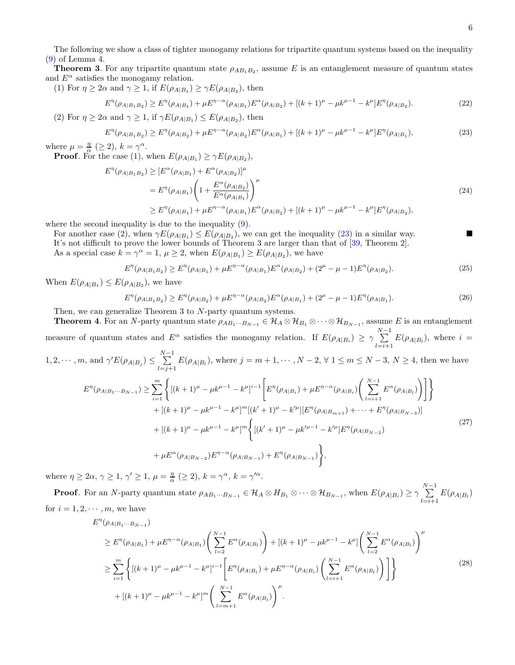The following we show a class of tighter monogamy relations for tripartite quantum systems based on the inequality [\(9\)](#page-1-1) of Lemma 4.

**Theorem 3**. For any tripartite quantum state  $\rho_{AB_1B_2}$ , assume E is an entanglement measure of quantum states and  $E^{\alpha}$  satisfies the monogamy relation.

(1) For  $\eta \geq 2\alpha$  and  $\gamma \geq 1$ , if  $E(\rho_{A|B_1}) \geq \gamma E(\rho_{A|B_2})$ , then

<span id="page-5-3"></span>
$$
E^{\eta}(\rho_{A|B_1B_2}) \ge E^{\eta}(\rho_{A|B_1}) + \mu E^{\eta - \alpha}(\rho_{A|B_1}) E^{\alpha}(\rho_{A|B_2}) + [(k+1)^{\mu} - \mu k^{\mu-1} - k^{\mu}] E^{\eta}(\rho_{A|B_2}). \tag{22}
$$

(2) For  $\eta \geq 2\alpha$  and  $\gamma \geq 1$ , if  $\gamma E(\rho_{A|B_1}) \leq E(\rho_{A|B_2})$ , then

<span id="page-5-0"></span>
$$
E^{\eta}(\rho_{A|B_1B_2}) \ge E^{\eta}(\rho_{A|B_2}) + \mu E^{\eta - \alpha}(\rho_{A|B_2}) E^{\alpha}(\rho_{A|B_1}) + [(k+1)^{\mu} - \mu k^{\mu - 1} - k^{\mu}] E^{\eta}(\rho_{A|B_1}),
$$
\n(23)

where  $\mu = \frac{\eta}{\alpha} \ (\geq 2), k = \gamma^{\alpha}.$ **Proof.** For the case (1), when  $E(\rho_{A|B_1}) \ge \gamma E(\rho_{A|B_2})$ ,

$$
E^{\eta}(\rho_{A|B_{1}B_{2}}) \geq [E^{\alpha}(\rho_{A|B_{1}}) + E^{\alpha}(\rho_{A|B_{2}})]^{\mu}
$$
  
=  $E^{\eta}(\rho_{A|B_{1}}) \left(1 + \frac{E^{\alpha}(\rho_{A|B_{2}})}{E^{\alpha}(\rho_{A|B_{1}})}\right)^{\mu}$   

$$
\geq E^{\eta}(\rho_{A|B_{1}}) + \mu E^{\eta - \alpha}(\rho_{A|B_{1}}) E^{\alpha}(\rho_{A|B_{2}}) + [(k+1)^{\mu} - \mu k^{\mu-1} - k^{\mu}] E^{\eta}(\rho_{A|B_{2}}),
$$
\n(24)

where the second inequality is due to the inequality [\(9\)](#page-1-1).

For another case (2), when  $\gamma E(\rho_{A|B_1}) \leq E(\rho_{A|B_2})$ , we can get the inequality [\(23\)](#page-5-0) in a similar way.

It's not difficult to prove the lower bounds of Theorem 3 are larger than that of [\[39](#page-10-13), Theorem 2]. As a special case  $k = \gamma^{\alpha} = 1$ ,  $\mu \geq 2$ , when  $E(\rho_{A|B_1}) \geq E(\rho_{A|B_2})$ , we have

$$
E^{\eta}(\rho_{A|B_1B_2}) \ge E^{\eta}(\rho_{A|B_1}) + \mu E^{\eta - \alpha}(\rho_{A|B_1}) E^{\alpha}(\rho_{A|B_2}) + (2^{\mu} - \mu - 1) E^{\eta}(\rho_{A|B_2}). \tag{25}
$$

When  $E(\rho_{A|B_1}) \leq E(\rho_{A|B_2})$ , we have

$$
E^{\eta}(\rho_{A|B_1B_2}) \ge E^{\eta}(\rho_{A|B_2}) + \mu E^{\eta - \alpha}(\rho_{A|B_2}) E^{\alpha}(\rho_{A|B_1}) + (2^{\mu} - \mu - 1) E^{\eta}(\rho_{A|B_1}). \tag{26}
$$

Then, we can generalize Theorem 3 to N-party quantum systems.

**Theorem 4.** For an N-party quantum state  $\rho_{AB_1\cdots B_{N-1}} \in \mathcal{H}_A \otimes \mathcal{H}_{B_1} \otimes \cdots \otimes \mathcal{H}_{B_{N-1}}$ , assume E is an entanglement measure of quantum states and  $E^{\alpha}$  satisfies the monogamy relation. If  $E(\rho_{A|B_i}) \geq \gamma \sum_{i=1}^{N-1}$  $\sum_{l=i+1} E(\rho_{A|B_l})$ , where  $i =$ 

 $1, 2, \cdots, m$ , and  $\gamma' E(\rho_{A|B_j}) \leq \sum_{i=1}^{N-1}$  $\sum_{l=j+1} E(\rho_{A|B_l})$ , where  $j = m+1, \cdots, N-2, \forall 1 \leq m \leq N-3, N \geq 4$ , then we have

<span id="page-5-2"></span>
$$
E^{\eta}(\rho_{A|B_{1}\cdots B_{N-1}}) \geq \sum_{i=1}^{m} \left\{ \left[ (k+1)^{\mu} - \mu k^{\mu-1} - k^{\mu} \right]^{i-1} \left[ E^{\eta}(\rho_{A|B_{i}}) + \mu E^{\eta-\alpha}(\rho_{A|B_{i}}) \left( \sum_{l=i+1}^{N-1} E^{\alpha}(\rho_{A|B_{l}}) \right) \right] \right\} + \left[ (k+1)^{\mu} - \mu k^{\mu-1} - k^{\mu} \right]^{m} \left[ (k'+1)^{\mu} - k'^{\mu} \right] \left[ E^{\eta}(\rho_{A|B_{m+1}}) + \dots + E^{\eta}(\rho_{A|B_{N-3}}) \right] + \left[ (k+1)^{\mu} - \mu k^{\mu-1} - k^{\mu} \right]^{m} \left\{ \left[ (k'+1)^{\mu} - \mu k'^{\mu-1} - k'^{\mu} \right] E^{\eta}(\rho_{A|B_{N-2}}) + \mu E^{\alpha}(\rho_{A|B_{N-2}}) E^{\eta-\alpha}(\rho_{A|B_{N-1}}) + E^{\eta}(\rho_{A|B_{N-1}}) \right\},
$$
\n
$$
(27)
$$

where  $\eta \ge 2\alpha, \gamma \ge 1, \gamma' \ge 1, \mu = \frac{\eta}{\alpha} \ (\ge 2), k = \gamma^{\alpha}, k = \gamma'^{\alpha}.$ 

**Proof**. For an N-party quantum state  $\rho_{AB_1\cdots B_{N-1}} \in \mathcal{H}_A \otimes H_{B_1} \otimes \cdots \otimes \mathcal{H}_{B_{N-1}}$ , when  $E(\rho_{A|B_i}) \ge \gamma \sum_{i=1}^{N-1}$  $\sum_{l=i+1} E(\rho_{A|B_l})$ for  $i = 1, 2, \dots, m$ , we have

<span id="page-5-1"></span>
$$
E^{\eta}(\rho_{A|B_{1}\cdots B_{N-1}})
$$
  
\n
$$
\geq E^{\eta}(\rho_{A|B_{1}}) + \mu E^{\eta-\alpha}(\rho_{A|B_{1}}) \left( \sum_{l=2}^{N-1} E^{\alpha}(\rho_{A|B_{l}}) \right) + \left[ (k+1)^{\mu} - \mu k^{\mu-1} - k^{\mu} \right] \left( \sum_{l=2}^{N-1} E^{\alpha}(\rho_{A|B_{l}}) \right)^{\mu}
$$
  
\n
$$
\geq \sum_{i=1}^{m} \left\{ \left[ (k+1)^{\mu} - \mu k^{\mu-1} - k^{\mu} \right]^{i-1} \left[ E^{\eta}(\rho_{A|B_{i}}) + \mu E^{\eta-\alpha}(\rho_{A|B_{i}}) \left( \sum_{l=i+1}^{N-1} E^{\alpha}(\rho_{A|B_{l}}) \right) \right] \right\}
$$
  
\n
$$
+ \left[ (k+1)^{\mu} - \mu k^{\mu-1} - k^{\mu} \right]^{m} \left( \sum_{l=m+1}^{N-1} E^{\alpha}(\rho_{A|B_{l}}) \right)^{\mu}.
$$
  
\n(28)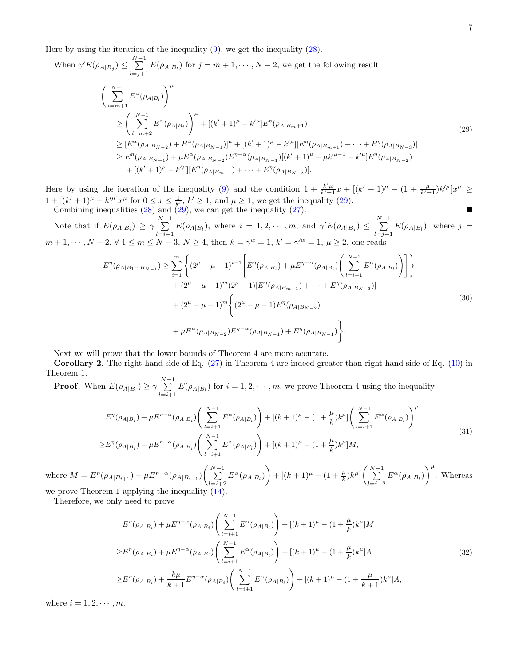Here by using the iteration of the inequality  $(9)$ , we get the inequality  $(28)$ .

When 
$$
\gamma' E(\rho_{A|B_j}) \leq \sum_{l=j+1}^{N-1} E(\rho_{A|B_l})
$$
 for  $j = m + 1, \dots, N - 2$ , we get the following result  
\n
$$
\left(\sum_{l=m+1}^{N-1} E^{\alpha}(\rho_{A|B_l})\right)^{\mu}
$$
\n
$$
\geq \left(\sum_{l=m+2}^{N-1} E^{\alpha}(\rho_{A|B_l})\right)^{\mu} + \left[(k' + 1)^{\mu} - k'^{\mu}\right]E^{\eta}(\rho_{A|B_m+1})
$$
\n
$$
\geq [E^{\alpha}(\rho_{A|B_{N-2}}) + E^{\alpha}(\rho_{A|B_{N-1}})]^{\mu} + \left[(k' + 1)^{\mu} - k'^{\mu}\right]E^{\eta}(\rho_{A|B_{m+1}}) + \dots + E^{\eta}(\rho_{A|B_{N-3}})]
$$
\n
$$
\geq E^{\eta}(\rho_{A|B_{N-1}}) + \mu E^{\alpha}(\rho_{A|B_{N-2}})E^{\eta - \alpha}(\rho_{A|B_{N-1}})[(k' + 1)^{\mu} - \mu k'^{\mu - 1} - k'^{\mu}]E^{\eta}(\rho_{A|B_{N-2}})
$$
\n
$$
+ \left[(k' + 1)^{\mu} - k'^{\mu}\right]E^{\eta}(\rho_{A|B_{m+1}}) + \dots + E^{\eta}(\rho_{A|B_{N-3}})].
$$
\n(29)

<span id="page-6-0"></span>Here by using the iteration of the inequality [\(9\)](#page-1-1) and the condition  $1 + \frac{k'\mu}{k'+1}x + \left[ (k'+1)^\mu - (1+\frac{\mu}{k'+1})k'^\mu \right]x^\mu \geq$  $1 + [(k'+1)^\mu - k'^\mu]x^\mu$  for  $0 \le x \le \frac{1}{k'}, k' \ge 1$ , and  $\mu \ge 1$ , we get the inequality [\(29\)](#page-6-0).

Combining inequalities [\(28\)](#page-5-1) and [\(29\)](#page-6-0), we can get the inequality [\(27\)](#page-5-2).

Note that if  $E(\rho_{A|B_i}) \geq \gamma \sum_{i=1}^{N-1}$  $\sum_{l=i+1}^{N-1} E(\rho_{A|B_l})$ , where  $i = 1, 2, \cdots, m$ , and  $\gamma' E(\rho_{A|B_j}) \leq \sum_{l=j+1}^{N-1}$  $\sum_{l=j+1} E(\rho_{A|B_l})$ , where  $j =$  $m+1, \cdots, N-2, \forall 1 \leq m \leq N-3, N \geq 4$ , then  $k = \gamma^{\alpha} = 1, k' = \gamma'^{\alpha} = 1, \mu \geq 2$ , one reads

$$
E^{\eta}(\rho_{A|B_{1}\cdots B_{N-1}}) \geq \sum_{i=1}^{m} \left\{ (2^{\mu} - \mu - 1)^{i-1} \left[ E^{\eta}(\rho_{A|B_{i}}) + \mu E^{\eta - \alpha}(\rho_{A|B_{i}}) \left( \sum_{l=i+1}^{N-1} E^{\alpha}(\rho_{A|B_{l}}) \right) \right] \right\} + (2^{\mu} - \mu - 1)^{m} (2^{\mu} - 1) [E^{\eta}(\rho_{A|B_{m+1}}) + \cdots + E^{\eta}(\rho_{A|B_{N-3}})] + (2^{\mu} - \mu - 1)^{m} \left\{ (2^{\mu} - \mu - 1) E^{\eta}(\rho_{A|B_{N-2}}) + \mu E^{\alpha}(\rho_{A|B_{N-2}}) E^{\eta - \alpha}(\rho_{A|B_{N-1}}) + E^{\eta}(\rho_{A|B_{N-1}}) \right\}.
$$
\n(30)

Next we will prove that the lower bounds of Theorem 4 are more accurate.

Corollary 2. The right-hand side of Eq. [\(27\)](#page-5-2) in Theorem 4 are indeed greater than right-hand side of Eq. [\(10\)](#page-2-3) in Theorem 1.

**Proof.** When  $E(\rho_{A|B_i}) \ge \gamma \sum_{i=1}^{N-1}$  $\sum_{l=i+1} E(\rho_{A|B_l})$  for  $i = 1, 2, \cdots, m$ , we prove Theorem 4 using the inequality

$$
E^{\eta}(\rho_{A|B_i}) + \mu E^{\eta - \alpha}(\rho_{A|B_i}) \left( \sum_{l=i+1}^{N-1} E^{\alpha}(\rho_{A|B_l}) \right) + \left[ (k+1)^{\mu} - (1 + \frac{\mu}{k}) k^{\mu} \right] \left( \sum_{l=i+1}^{N-1} E^{\alpha}(\rho_{A|B_l}) \right)^{\mu}
$$
  
\n
$$
\geq E^{\eta}(\rho_{A|B_i}) + \mu E^{\eta - \alpha}(\rho_{A|B_i}) \left( \sum_{l=i+1}^{N-1} E^{\alpha}(\rho_{A|B_l}) \right) + \left[ (k+1)^{\mu} - (1 + \frac{\mu}{k}) k^{\mu} \right] M,
$$
\n(31)

where  $M = E^{\eta}(\rho_{A|B_{i+1}}) + \mu E^{\eta-\alpha}(\rho_{A|B_{i+1}})\left(\sum_{i=1}^{N-1} \right)$  $\sum_{l=i+2}^{N-1} E^{\alpha}(\rho_{A|B_l}) + [(k+1)^{\mu} - (1 + \frac{\mu}{k})k^{\mu}] \left( \sum_{l=i+2}^{N-1} \right)$  $\sum_{l=i+2}^{N-1} E^{\alpha}(\rho_{A|B_l})\bigg)^{\mu}$ . Whereas we prove Theorem 1 applying the inequality [\(14\)](#page-3-1).

Therefore, we only need to prove

<span id="page-6-1"></span>
$$
E^{\eta}(\rho_{A|B_i}) + \mu E^{\eta - \alpha}(\rho_{A|B_i}) \left( \sum_{l=i+1}^{N-1} E^{\alpha}(\rho_{A|B_l}) \right) + [(k+1)^{\mu} - (1 + \frac{\mu}{k})k^{\mu}]M
$$
  
\n
$$
\geq E^{\eta}(\rho_{A|B_i}) + \mu E^{\eta - \alpha}(\rho_{A|B_i}) \left( \sum_{l=i+1}^{N-1} E^{\alpha}(\rho_{A|B_l}) \right) + [(k+1)^{\mu} - (1 + \frac{\mu}{k})k^{\mu}]A
$$
  
\n
$$
\geq E^{\eta}(\rho_{A|B_i}) + \frac{k\mu}{k+1} E^{\eta - \alpha}(\rho_{A|B_i}) \left( \sum_{l=i+1}^{N-1} E^{\alpha}(\rho_{A|B_l}) \right) + [(k+1)^{\mu} - (1 + \frac{\mu}{k+1})k^{\mu}]A,
$$
\n(32)

where  $i = 1, 2, \cdots, m$ .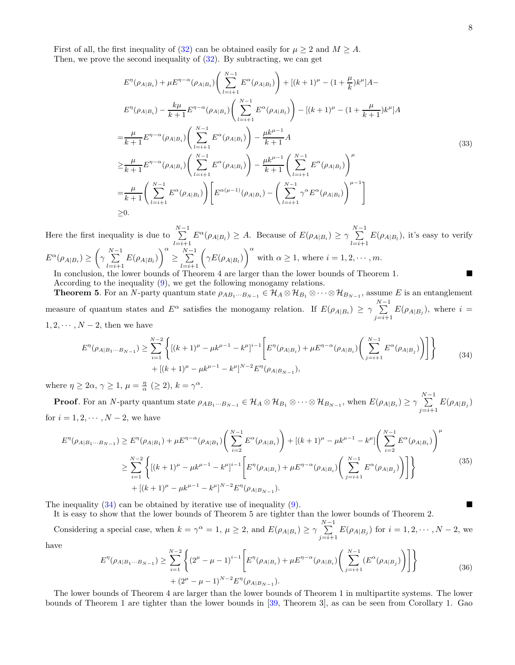First of all, the first inequality of [\(32\)](#page-6-1) can be obtained easily for  $\mu \geq 2$  and  $M \geq A$ . Then, we prove the second inequality of  $(32)$ . By subtracting, we can get

$$
E^{\eta}(\rho_{A|B_{i}}) + \mu E^{\eta - \alpha}(\rho_{A|B_{i}}) \left( \sum_{l=i+1}^{N-1} E^{\alpha}(\rho_{A|B_{l}}) \right) + [(k+1)^{\mu} - (1 + \frac{\mu}{k})k^{\mu}]A -
$$
  
\n
$$
E^{\eta}(\rho_{A|B_{i}}) - \frac{k\mu}{k+1} E^{\eta - \alpha}(\rho_{A|B_{i}}) \left( \sum_{l=i+1}^{N-1} E^{\alpha}(\rho_{A|B_{l}}) \right) - [(k+1)^{\mu} - (1 + \frac{\mu}{k+1})k^{\mu}]A
$$
  
\n
$$
= \frac{\mu}{k+1} E^{\eta - \alpha}(\rho_{A|B_{i}}) \left( \sum_{l=i+1}^{N-1} E^{\alpha}(\rho_{A|B_{l}}) \right) - \frac{\mu k^{\mu-1}}{k+1} A
$$
  
\n
$$
\geq \frac{\mu}{k+1} E^{\eta - \alpha}(\rho_{A|B_{i}}) \left( \sum_{l=i+1}^{N-1} E^{\alpha}(\rho_{A|B_{l}}) \right) - \frac{\mu k^{\mu-1}}{k+1} \left( \sum_{l=i+1}^{N-1} E^{\alpha}(\rho_{A|B_{l}}) \right)^{\mu}
$$
  
\n
$$
= \frac{\mu}{k+1} \left( \sum_{l=i+1}^{N-1} E^{\alpha}(\rho_{A|B_{l}}) \right) \left[ E^{\alpha(\mu-1)}(\rho_{A|B_{i}}) - \left( \sum_{l=i+1}^{N-1} \gamma^{\alpha} E^{\alpha}(\rho_{A|B_{l}}) \right)^{\mu-1} \right]
$$
  
\n
$$
\geq 0.
$$
 (33)

Here the first inequality is due to  $\sum_{n=1}^{N-1}$  $\sum_{l=i+1}^{N-1} E^{\alpha}(\rho_{A|B_l}) \geq A.$  Because of  $E(\rho_{A|B_i}) \geq \gamma \sum_{l=i+1}^{N-1}$  $\sum_{l=i+1} E(\rho_{A|B_l})$ , it's easy to verify  $E^{\alpha}(\rho_{A|B_i}) \geq \left(\gamma \sum_{i=1}^{N-1} \right)$  $\sum_{l=i+1}^{N-1} E(\rho_{A|B_l})\bigg)^{\alpha}$ ≥  $\sum_{l=i+1}^{N-1} \left( \gamma E(\rho_{A|B_l}) \right)^{\alpha}$ with  $\alpha \geq 1$ , where  $i = 1, 2, \dots, m$ .

In conclusion, the lower bounds of Theorem 4 are larger than the lower bounds of Theorem 1. According to the inequality [\(9\)](#page-1-1), we get the following monogamy relations.

**Theorem 5.** For an N-party quantum state  $\rho_{AB_1\cdots B_{N-1}} \in \mathcal{H}_A \otimes \mathcal{H}_{B_1} \otimes \cdots \otimes \mathcal{H}_{B_{N-1}}$ , assume E is an entanglement measure of quantum states and  $E^{\alpha}$  satisfies the monogamy relation. If  $E(\rho_{A|B_i}) \ge \gamma \sum_{i=1}^{N-1}$  $\sum_{j=i+1} E(\rho_{A|B_j})$ , where  $i =$  $1, 2, \cdots, N-2$ , then we have

<span id="page-7-0"></span>
$$
E^{\eta}(\rho_{A|B_{1}\cdots B_{N-1}}) \geq \sum_{i=1}^{N-2} \left\{ \left[ (k+1)^{\mu} - \mu k^{\mu-1} - k^{\mu} \right]^{i-1} \left[ E^{\eta}(\rho_{A|B_{i}}) + \mu E^{\eta-\alpha}(\rho_{A|B_{i}}) \left( \sum_{j=i+1}^{N-1} E^{\alpha}(\rho_{A|B_{j}}) \right) \right] \right\}
$$
\n
$$
+ \left[ (k+1)^{\mu} - \mu k^{\mu-1} - k^{\mu} \right]^{N-2} E^{\eta}(\rho_{A|B_{N-1}}), \tag{34}
$$

where  $\eta \ge 2\alpha, \gamma \ge 1, \mu = \frac{\eta}{\alpha} \ (\ge 2), k = \gamma^{\alpha}$ .

**Proof**. For an N-party quantum state  $\rho_{AB_1\cdots B_{N-1}} \in \mathcal{H}_A \otimes \mathcal{H}_{B_1} \otimes \cdots \otimes \mathcal{H}_{B_{N-1}}$ , when  $E(\rho_{A|B_i}) \ge \gamma \sum_{i=1}^{N-1}$  $\sum_{j=i+1} E(\rho_{A|B_j})$ for  $i = 1, 2, \cdots, N-2$ , we have

$$
E^{\eta}(\rho_{A|B_{1}\cdots B_{N-1}}) \geq E^{\eta}(\rho_{A|B_{1}}) + \mu E^{\eta-\alpha}(\rho_{A|B_{1}}) \left(\sum_{i=2}^{N-1} E^{\alpha}(\rho_{A|B_{i}})\right) + \left[(k+1)^{\mu} - \mu k^{\mu-1} - k^{\mu}\right] \left(\sum_{i=2}^{N-1} E^{\alpha}(\rho_{A|B_{i}})\right)^{\mu}
$$
  

$$
\geq \sum_{i=1}^{N-2} \left\{ \left[(k+1)^{\mu} - \mu k^{\mu-1} - k^{\mu}\right]^{i-1} \left[E^{\eta}(\rho_{A|B_{i}}) + \mu E^{\eta-\alpha}(\rho_{A|B_{i}}) \left(\sum_{j=i+1}^{N-1} E^{\alpha}(\rho_{A|B_{j}})\right)\right] \right\}
$$
(35)  
+ 
$$
\left[(k+1)^{\mu} - \mu k^{\mu-1} - k^{\mu}\right]^{N-2} E^{\eta}(\rho_{A|B_{N-1}}).
$$

The inequality  $(34)$  can be obtained by iterative use of inequality  $(9)$ .

It is easy to show that the lower bounds of Theorem 5 are tighter than the lower bounds of Theorem 2.

Considering a special case, when  $k = \gamma^{\alpha} = 1$ ,  $\mu \geq 2$ , and  $E(\rho_{A|B_i}) \geq \gamma \sum_{i=1}^{N-1}$  $\sum_{j=i+1} E(\rho_{A|B_j})$  for  $i = 1, 2, \dots, N-2$ , we have

$$
E^{\eta}(\rho_{A|B_{1}\cdots B_{N-1}}) \geq \sum_{i=1}^{N-2} \left\{ (2^{\mu} - \mu - 1)^{i-1} \left[ E^{\eta}(\rho_{A|B_{i}}) + \mu E^{\eta - \alpha}(\rho_{A|B_{i}}) \left( \sum_{j=i+1}^{N-1} (E^{\alpha}(\rho_{A|B_{j}})) \right) \right] \right\}
$$
  
+  $(2^{\mu} - \mu - 1)^{N-2} E^{\eta}(\rho_{A|B_{N-1}}).$  (36)

The lower bounds of Theorem 4 are larger than the lower bounds of Theorem 1 in multipartite systems. The lower bounds of Theorem 1 are tighter than the lower bounds in [\[39,](#page-10-13) Theorem 3], as can be seen from Corollary 1. Gao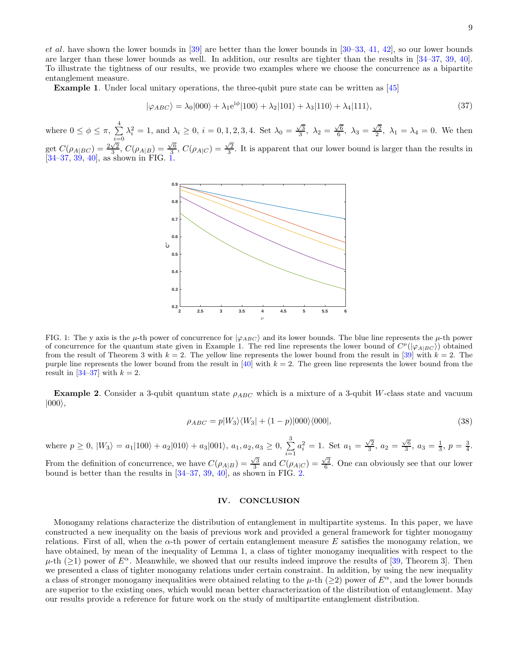et al. have shown the lower bounds in [\[39\]](#page-10-13) are better than the lower bounds in [\[30](#page-10-9)[–33](#page-10-17), [41,](#page-10-18) [42\]](#page-10-14), so our lower bounds are larger than these lower bounds as well. In addition, our results are tighter than the results in [\[34](#page-10-19)[–37](#page-10-11), [39,](#page-10-13) [40\]](#page-10-20). To illustrate the tightness of our results, we provide two examples where we choose the concurrence as a bipartite entanglement measure.

Example 1. Under local unitary operations, the three-qubit pure state can be written as [\[45](#page-10-21)]

$$
|\varphi_{ABC}\rangle = \lambda_0|000\rangle + \lambda_1 e^{i\phi}|100\rangle + \lambda_2|101\rangle + \lambda_3|110\rangle + \lambda_4|111\rangle,\tag{37}
$$

where  $0 \leq \phi \leq \pi$ ,  $\sum_{n=1}^{4}$  $i=0$  $\lambda_i^2 = 1$ , and  $\lambda_i \geq 0$ ,  $i = 0, 1, 2, 3, 4$ . Set  $\lambda_0 = \frac{\sqrt{3}}{3}$ ,  $\lambda_2 = \frac{\sqrt{6}}{6}$ ,  $\lambda_3 = \frac{\sqrt{2}}{2}$ ,  $\lambda_1 = \lambda_4 = 0$ . We then get  $C(\rho_{A|BC}) = \frac{2\sqrt{2}}{3}$ ,  $C(\rho_{A|B}) = \frac{\sqrt{6}}{3}$ ,  $C(\rho_{A|C}) = \frac{\sqrt{2}}{3}$ . It is apparent that our lower bound is larger than the results in  $[34-37, 39, 40]$  $[34-37, 39, 40]$  $[34-37, 39, 40]$  $[34-37, 39, 40]$  $[34-37, 39, 40]$ , as shown in FIG. [1.](#page-8-1)



<span id="page-8-1"></span>FIG. 1: The y axis is the  $\mu$ -th power of concurrence for  $|\varphi_{ABC}\rangle$  and its lower bounds. The blue line represents the  $\mu$ -th power of concurrence for the quantum state given in Example 1. The red line represents the lower bound of  $C^{\mu}(|\varphi_{A|BC}\rangle)$  obtained from the result of Theorem 3 with  $k = 2$ . The yellow line represents the lower bound from the result in [\[39\]](#page-10-13) with  $k = 2$ . The purple line represents the lower bound from the result in [\[40](#page-10-20)] with  $k = 2$ . The green line represents the lower bound from the result in [\[34](#page-10-19)[–37](#page-10-11)] with  $k = 2$ .

**Example 2.** Consider a 3-qubit quantum state  $\rho_{ABC}$  which is a mixture of a 3-qubit W-class state and vacuum  $|000\rangle$ ,

$$
\rho_{ABC} = p|W_3\rangle\langle W_3| + (1-p)|000\rangle\langle 000|,\tag{38}
$$

where  $p \ge 0$ ,  $|W_3\rangle = a_1|100\rangle + a_2|010\rangle + a_3|001\rangle$ ,  $a_1, a_2, a_3 \ge 0$ ,  $\sum_{n=1}^{3}$  $i=1$  $a_i^2 = 1$ . Set  $a_1 = \frac{\sqrt{2}}{3}$ ,  $a_2 = \frac{\sqrt{6}}{3}$ ,  $a_3 = \frac{1}{3}$ ,  $p = \frac{3}{4}$ .

From the definition of concurrence, we have  $C(\rho_{A|B}) = \frac{\sqrt{3}}{3}$  and  $C(\rho_{A|C}) = \frac{\sqrt{2}}{6}$ . One can obviously see that our lower bound is better than the results in [\[34](#page-10-19)[–37,](#page-10-11) [39,](#page-10-13) [40\]](#page-10-20), as shown in FIG. [2.](#page-9-16)

## <span id="page-8-0"></span>IV. CONCLUSION

Monogamy relations characterize the distribution of entanglement in multipartite systems. In this paper, we have constructed a new inequality on the basis of previous work and provided a general framework for tighter monogamy relations. First of all, when the  $\alpha$ -th power of certain entanglement measure E satisfies the monogamy relation, we have obtained, by mean of the inequality of Lemma 1, a class of tighter monogamy inequalities with respect to the  $\mu$ -th (>1) power of  $E^{\alpha}$ . Meanwhile, we showed that our results indeed improve the results of [\[39](#page-10-13), Theorem 3]. Then we presented a class of tighter monogamy relations under certain constraint. In addition, by using the new inequality a class of stronger monogamy inequalities were obtained relating to the  $\mu$ -th ( $\geq$ ) power of  $E^{\alpha}$ , and the lower bounds are superior to the existing ones, which would mean better characterization of the distribution of entanglement. May our results provide a reference for future work on the study of multipartite entanglement distribution.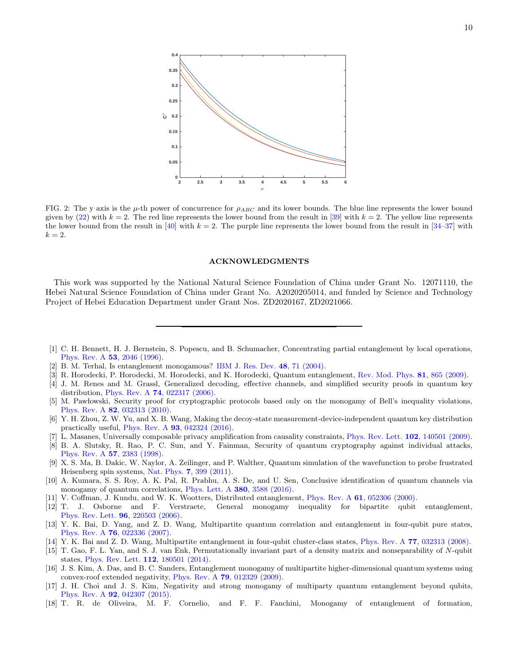

<span id="page-9-16"></span>FIG. 2: The y axis is the  $\mu$ -th power of concurrence for  $\rho_{ABC}$  and its lower bounds. The blue line represents the lower bound given by [\(22\)](#page-5-3) with  $k = 2$ . The red line represents the lower bound from the result in [\[39](#page-10-13)] with  $k = 2$ . The yellow line represents the lower bound from the result in [\[40\]](#page-10-20) with  $k = 2$ . The purple line represents the lower bound from the result in [\[34](#page-10-19)[–37](#page-10-11)] with  $k=2.$ 

#### ACKNOWLEDGMENTS

This work was supported by the National Natural Science Foundation of China under Grant No. 12071110, the Hebei Natural Science Foundation of China under Grant No. A2020205014, and funded by Science and Technology Project of Hebei Education Department under Grant Nos. ZD2020167, ZD2021066.

- <span id="page-9-0"></span>[1] C. H. Bennett, H. J. Bernstein, S. Popescu, and B. Schumacher, Concentrating partial entanglement by local operations, [Phys. Rev. A](https://journals.aps.org/pra/abstract/10.1103/PhysRevA.53.2046) 53, 2046 (1996).
- <span id="page-9-1"></span>[2] B. M. Terhal, Is entanglement monogamous? [IBM J. Res. Dev.](https://ieeexplore.ieee.org/document/5388928) 48, 71 (2004).
- <span id="page-9-2"></span>[3] R. Horodecki, P. Horodecki, M. Horodecki, and K. Horodecki, Quantum entanglement, [Rev. Mod. Phys.](https://journals.aps.org/rmp/abstract/10.1103/RevModPhys.81.865) 81, 865 (2009).
- <span id="page-9-3"></span>[4] J. M. Renes and M. Grassl, Generalized decoding, effective channels, and simplified security proofs in quantum key distribution, Phys. Rev. A 74[, 022317 \(2006\).](https://journals.aps.org/pra/abstract/10.1103/PhysRevA.74.022317)
- [5] M. Paw lowski, Security proof for cryptographic protocols based only on the monogamy of Bell's inequality violations, Phys. Rev. A 82[, 032313 \(2010\).](https://journals.aps.org/pra/abstract/10.1103/PhysRevA.82.032313)
- <span id="page-9-4"></span>[6] Y. H. Zhou, Z. W. Yu, and X. B. Wang, Making the decoy-state measurement-device-independent quantum key distribution practically useful, Phys. Rev. A 93[, 042324 \(2016\).](https://journals.aps.org/pra/abstract/10.1103/PhysRevA.93.042324)
- <span id="page-9-5"></span>[7] L. Masanes, Universally composable privacy amplification from causality constraints, [Phys. Rev. Lett.](https://journals.aps.org/prl/abstract/10.1103/PhysRevLett.102.140501) 102, 140501 (2009).
- <span id="page-9-6"></span>[8] B. A. Slutsky, R. Rao, P. C. Sun, and Y. Fainman, Security of quantum cryptography against individual attacks, [Phys. Rev. A](https://journals.aps.org/pra/abstract/10.1103/PhysRevA.57.2383) 57, 2383 (1998).
- <span id="page-9-7"></span>[9] X. S. Ma, B. Dakic, W. Naylor, A. Zeilinger, and P. Walther, Quantum simulation of the wavefunction to probe frustrated Heisenberg spin systems, Nat. Phys. 7[, 399 \(2011\).](https://www.nature.com/articles/nphys1919)
- <span id="page-9-8"></span>[10] A. Kumara, S. S. Roy, A. K. Pal, R. Prabhu, A. S. De, and U. Sen, Conclusive identification of quantum channels via monogamy of quantum correlations, [Phys. Lett. A](https://linkinghub.elsevier.com/retrieve/pii/S0375960116306235) 380, 3588 (2016).
- <span id="page-9-9"></span>[11] V. Coffman, J. Kundu, and W. K. Wootters, Distributed entanglement, Phys. Rev. A 61[, 052306 \(2000\).](https://journals.aps.org/pra/abstract/10.1103/PhysRevA.61.052306)
- <span id="page-9-10"></span>[12] T. J. Osborne and F. Verstraete, General monogamy inequality for bipartite qubit entanglement, [Phys. Rev. Lett.](https://journals.aps.org/prl/abstract/10.1103/PhysRevLett.96.220503) 96, 220503 (2006).
- <span id="page-9-11"></span>[13] Y. K. Bai, D. Yang, and Z. D. Wang, Multipartite quantum correlation and entanglement in four-qubit pure states, Phys. Rev. A 76[, 022336 \(2007\).](https://journals.aps.org/pra/abstract/10.1103/PhysRevA.76.022336)
- [14] Y. K. Bai and Z. D. Wang, Multipartite entanglement in four-qubit cluster-class states, Phys. Rev. A 77[, 032313 \(2008\).](https://journals.aps.org/pra/abstract/10.1103/PhysRevA.77.032313)
- <span id="page-9-12"></span>[15] T. Gao, F. L. Yan, and S. J. van Enk, Permutationally invariant part of a density matrix and nonseparability of N-qubit states, [Phys. Rev. Lett.](https://journals.aps.org/prl/abstract/10.1103/PhysRevLett.112.180501) 112, 180501 (2014).
- <span id="page-9-13"></span>[16] J. S. Kim, A. Das, and B. C. Sanders, Entanglement monogamy of multipartite higher-dimensional quantum systems using convex-roof extended negativity, Phys. Rev. A 79[, 012329 \(2009\).](https://journals.aps.org/pra/abstract/10.1103/PhysRevA.79.012329)
- <span id="page-9-14"></span>[17] J. H. Choi and J. S. Kim, Negativity and strong monogamy of multiparty quantum entanglement beyond qubits, Phys. Rev. A 92[, 042307 \(2015\).](https://journals.aps.org/pra/abstract/10.1103/PhysRevA.92.042307)
- <span id="page-9-15"></span>[18] T. R. de Oliveira, M. F. Cornelio, and F. F. Fanchini, Monogamy of entanglement of formation,